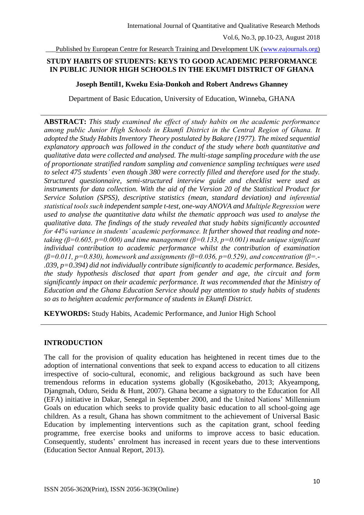Published by European Centre for Research Training and Development UK [\(www.eajournals.org\)](http://www.eajournals.org/)

# **STUDY HABITS OF STUDENTS: KEYS TO GOOD ACADEMIC PERFORMANCE IN PUBLIC JUNIOR HIGH SCHOOLS IN THE EKUMFI DISTRICT OF GHANA**

#### **Joseph Bentil1, Kweku Esia-Donkoh and Robert Andrews Ghanney**

Department of Basic Education, University of Education, Winneba, GHANA

**ABSTRACT:** *This study examined the effect of study habits on the academic performance among public Junior High Schools in Ekumfi District in the Central Region of Ghana. It adopted the Study Habits Inventory Theory postulated by Bakare (1977). The mixed sequential explanatory approach was followed in the conduct of the study where both quantitative and qualitative data were collected and analysed. The multi-stage sampling procedure with the use of proportionate stratified random sampling and convenience sampling techniques were used to select 475 students' even though 380 were correctly filled and therefore used for the study. Structured questionnaire, semi-structured interview guide and checklist were used as instruments for data collection. With the aid of the Version 20 of the Statistical Product for Service Solution (SPSS), descriptive statistics (mean, standard deviation) and inferential statistical tools such independent sample t-test, one-way ANOVA and Multiple Regression were used to analyse the quantitative data whilst the thematic approach was used to analyse the qualitative data. The findings of the study revealed that study habits significantly accounted for 44% variance in students' academic performance. It further showed that reading and notetaking (β=0.605, p=0.000) and time management (β=0.133, p=0.001) made unique significant individual contribution to academic performance whilst the contribution of examination (β=0.011, p=0.830), homework and assignments (β=0.036, p=0.529), and concentration (β=.- .039, p=0.394) did not individually contribute significantly to academic performance. Besides, the study hypothesis disclosed that apart from gender and age, the circuit and form significantly impact on their academic performance. It was recommended that the Ministry of Education and the Ghana Education Service should pay attention to study habits of students so as to heighten academic performance of students in Ekumfi District.*

**KEYWORDS:** Study Habits, Academic Performance, and Junior High School

## **INTRODUCTION**

The call for the provision of quality education has heightened in recent times due to the adoption of international conventions that seek to expand access to education to all citizens irrespective of socio-cultural, economic, and religious background as such have been tremendous reforms in education systems globally (Kgosikebatho, 2013; Akyeampong, Djangmah, Oduro, Seidu & Hunt, 2007). Ghana became a signatory to the Education for All (EFA) initiative in Dakar, Senegal in September 2000, and the United Nations' Millennium Goals on education which seeks to provide quality basic education to all school-going age children. As a result, Ghana has shown commitment to the achievement of Universal Basic Education by implementing interventions such as the capitation grant, school feeding programme, free exercise books and uniforms to improve access to basic education. Consequently, students' enrolment has increased in recent years due to these interventions (Education Sector Annual Report, 2013).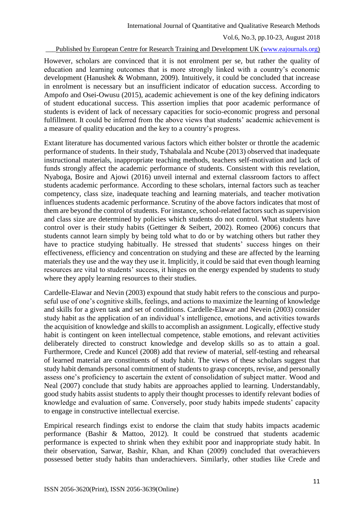Published by European Centre for Research Training and Development UK [\(www.eajournals.org\)](http://www.eajournals.org/)

However, scholars are convinced that it is not enrolment per se, but rather the quality of education and learning outcomes that is more strongly linked with a country's economic development (Hanushek & Wobmann, 2009). Intuitively, it could be concluded that increase in enrolment is necessary but an insufficient indicator of education success. According to Ampofo and Osei-Owusu (2015), academic achievement is one of the key defining indicators of student educational success. This assertion implies that poor academic performance of students is evident of lack of necessary capacities for socio-economic progress and personal fulfillment. It could be inferred from the above views that students' academic achievement is a measure of quality education and the key to a country's progress.

Extant literature has documented various factors which either bolster or throttle the academic performance of students. In their study, Tshabalala and Ncube (2013) observed that inadequate instructional materials, inappropriate teaching methods, teachers self-motivation and lack of funds strongly affect the academic performance of students. Consistent with this revelation, Nyaboga, Bosire and Ajowi (2016) unveil internal and external classroom factors to affect students academic performance. According to these scholars, internal factors such as teacher competency, class size, inadequate teaching and learning materials, and teacher motivation influences students academic performance. Scrutiny of the above factors indicates that most of them are beyond the control of students. For instance, school-related factors such as supervision and class size are determined by policies which students do not control. What students have control over is their study habits (Gettinger & Seibert, 2002). Romeo (2006) concurs that students cannot learn simply by being told what to do or by watching others but rather they have to practice studying habitually. He stressed that students' success hinges on their effectiveness, efficiency and concentration on studying and these are affected by the learning materials they use and the way they use it. Implicitly, it could be said that even though learning resources are vital to students' success, it hinges on the energy expended by students to study where they apply learning resources to their studies.

Cardelle-Elawar and Nevin (2003) expound that study habit refers to the conscious and purposeful use of one's cognitive skills, feelings, and actions to maximize the learning of knowledge and skills for a given task and set of conditions. Cardelle-Elawar and Nevein (2003) consider study habit as the application of an individual's intelligence, emotions, and activities towards the acquisition of knowledge and skills to accomplish an assignment. Logically, effective study habit is contingent on keen intellectual competence, stable emotions, and relevant activities deliberately directed to construct knowledge and develop skills so as to attain a goal. Furthermore, Crede and Kuncel (2008) add that review of material, self-testing and rehearsal of learned material are constituents of study habit. The views of these scholars suggest that study habit demands personal commitment of students to grasp concepts, revise, and personally assess one's proficiency to ascertain the extent of consolidation of subject matter. Wood and Neal (2007) conclude that study habits are approaches applied to learning. Understandably, good study habits assist students to apply their thought processes to identify relevant bodies of knowledge and evaluation of same. Conversely, poor study habits impede students' capacity to engage in constructive intellectual exercise.

Empirical research findings exist to endorse the claim that study habits impacts academic performance (Bashir & Mattoo, 2012). It could be construed that students academic performance is expected to shrink when they exhibit poor and inappropriate study habit. In their observation, Sarwar, Bashir, Khan, and Khan (2009) concluded that overachievers possessed better study habits than underachievers. Similarly, other studies like Crede and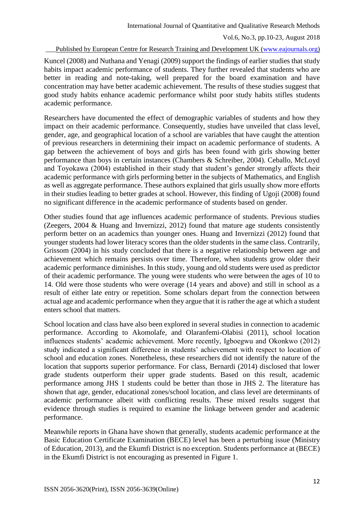#### Published by European Centre for Research Training and Development UK [\(www.eajournals.org\)](http://www.eajournals.org/)

Kuncel (2008) and Nuthana and Yenagi (2009) support the findings of earlier studies that study habits impact academic performance of students. They further revealed that students who are better in reading and note-taking, well prepared for the board examination and have concentration may have better academic achievement. The results of these studies suggest that good study habits enhance academic performance whilst poor study habits stifles students academic performance.

Researchers have documented the effect of demographic variables of students and how they impact on their academic performance. Consequently, studies have unveiled that class level, gender, age, and geographical location of a school are variables that have caught the attention of previous researchers in determining their impact on academic performance of students. A gap between the achievement of boys and girls has been found with girls showing better performance than boys in certain instances (Chambers & Schreiber, 2004). Ceballo, McLoyd and Toyokawa (2004) established in their study that student's gender strongly affects their academic performance with girls performing better in the subjects of Mathematics, and English as well as aggregate performance. These authors explained that girls usually show more efforts in their studies leading to better grades at school. However, this finding of Ugoji (2008) found no significant difference in the academic performance of students based on gender.

Other studies found that age influences academic performance of students. Previous studies (Zeegers, 2004 & Huang and Invernizzi, 2012) found that mature age students consistently perform better on an academics than younger ones. Huang and Invernizzi (2012) found that younger students had lower literacy scores than the older students in the same class. Contrarily, Grissom (2004) in his study concluded that there is a negative relationship between age and achievement which remains persists over time. Therefore, when students grow older their academic performance diminishes. In this study, young and old students were used as predictor of their academic performance. The young were students who were between the ages of 10 to 14. Old were those students who were overage (14 years and above) and still in school as a result of either late entry or repetition. Some scholars depart from the connection between actual age and academic performance when they argue that it is rather the age at which a student enters school that matters.

School location and class have also been explored in several studies in connection to academic performance. According to Akomolafe, and Olaranfemi-Olabisi (2011), school location influences students' academic achievement. More recently, Igboegwu and Okonkwo (2012) study indicated a significant difference in students' achievement with respect to location of school and education zones. Nonetheless, these researchers did not identify the nature of the location that supports superior performance. For class, Bernardi (2014) disclosed that lower grade students outperform their upper grade students. Based on this result, academic performance among JHS 1 students could be better than those in JHS 2. The literature has shown that age, gender, educational zones/school location, and class level are determinants of academic performance albeit with conflicting results. These mixed results suggest that evidence through studies is required to examine the linkage between gender and academic performance.

Meanwhile reports in Ghana have shown that generally, students academic performance at the Basic Education Certificate Examination (BECE) level has been a perturbing issue (Ministry of Education, 2013), and the Ekumfi District is no exception. Students performance at (BECE) in the Ekumfi District is not encouraging as presented in Figure 1.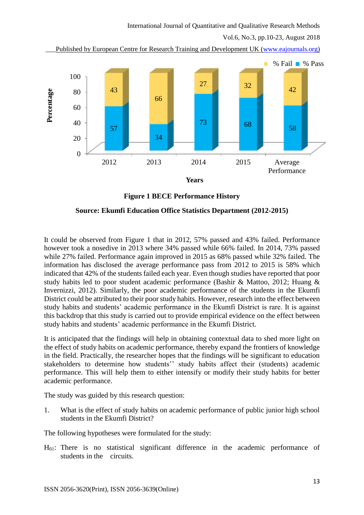Published by European Centre for Research Training and Development UK [\(www.eajournals.org\)](http://www.eajournals.org/)



**Figure 1 BECE Performance History**

## **Source: Ekumfi Education Office Statistics Department (2012-2015)**

It could be observed from Figure 1 that in 2012, 57% passed and 43% failed. Performance however took a nosedive in 2013 where 34% passed while 66% failed. In 2014, 73% passed while 27% failed. Performance again improved in 2015 as 68% passed while 32% failed. The information has disclosed the average performance pass from 2012 to 2015 is 58% which indicated that 42% of the students failed each year. Even though studies have reported that poor study habits led to poor student academic performance (Bashir & Mattoo, 2012; Huang & Invernizzi, 2012). Similarly, the poor academic performance of the students in the Ekumfi District could be attributed to their poor study habits. However, research into the effect between study habits and students' academic performance in the Ekumfi District is rare. It is against this backdrop that this study is carried out to provide empirical evidence on the effect between study habits and students' academic performance in the Ekumfi District.

It is anticipated that the findings will help in obtaining contextual data to shed more light on the effect of study habits on academic performance, thereby expand the frontiers of knowledge in the field. Practically, the researcher hopes that the findings will be significant to education stakeholders to determine how students'' study habits affect their (students) academic performance. This will help them to either intensify or modify their study habits for better academic performance.

The study was guided by this research question:

1. What is the effect of study habits on academic performance of public junior high school students in the Ekumfi District?

The following hypotheses were formulated for the study:

H01: There is no statistical significant difference in the academic performance of students in the circuits.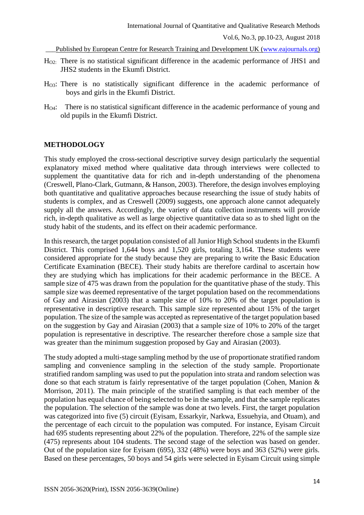Published by European Centre for Research Training and Development UK [\(www.eajournals.org\)](http://www.eajournals.org/)

- HO2: There is no statistical significant difference in the academic performance of JHS1 and JHS2 students in the Ekumfi District.
- HO3: There is no statistically significant difference in the academic performance of boys and girls in the Ekumfi District.
- HO4: There is no statistical significant difference in the academic performance of young and old pupils in the Ekumfi District.

## **METHODOLOGY**

This study employed the cross-sectional descriptive survey design particularly the sequential explanatory mixed method where qualitative data through interviews were collected to supplement the quantitative data for rich and in-depth understanding of the phenomena (Creswell, Plano-Clark, Gutmann, & Hanson, 2003). Therefore, the design involves employing both quantitative and qualitative approaches because researching the issue of study habits of students is complex, and as Creswell (2009) suggests, one approach alone cannot adequately supply all the answers. Accordingly, the variety of data collection instruments will provide rich, in-depth qualitative as well as large objective quantitative data so as to shed light on the study habit of the students, and its effect on their academic performance.

In this research, the target population consisted of all Junior High School students in the Ekumfi District. This comprised 1,644 boys and 1,520 girls, totaling 3,164. These students were considered appropriate for the study because they are preparing to write the Basic Education Certificate Examination (BECE). Their study habits are therefore cardinal to ascertain how they are studying which has implications for their academic performance in the BECE. A sample size of 475 was drawn from the population for the quantitative phase of the study. This sample size was deemed representative of the target population based on the recommendations of Gay and Airasian (2003) that a sample size of 10% to 20% of the target population is representative in descriptive research. This sample size represented about 15% of the target population. The size of the sample was accepted as representative of the target population based on the suggestion by Gay and Airasian (2003) that a sample size of 10% to 20% of the target population is representative in descriptive. The researcher therefore chose a sample size that was greater than the minimum suggestion proposed by Gay and Airasian (2003).

The study adopted a multi-stage sampling method by the use of proportionate stratified random sampling and convenience sampling in the selection of the study sample. Proportionate stratified random sampling was used to put the population into strata and random selection was done so that each stratum is fairly representative of the target population (Cohen, Manion & Morrison, 2011). The main principle of the stratified sampling is that each member of the population has equal chance of being selected to be in the sample, and that the sample replicates the population. The selection of the sample was done at two levels. First, the target population was categorized into five (5) circuit (Eyisam, Essarkyir, Narkwa, Essuehyia, and Otuam), and the percentage of each circuit to the population was computed. For instance, Eyisam Circuit had 695 students representing about 22% of the population. Therefore, 22% of the sample size (475) represents about 104 students. The second stage of the selection was based on gender. Out of the population size for Eyisam (695), 332 (48%) were boys and 363 (52%) were girls. Based on these percentages, 50 boys and 54 girls were selected in Eyisam Circuit using simple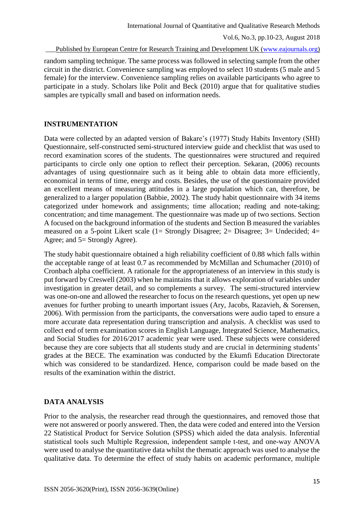#### Published by European Centre for Research Training and Development UK [\(www.eajournals.org\)](http://www.eajournals.org/)

random sampling technique. The same process was followed in selecting sample from the other circuit in the district. Convenience sampling was employed to select 10 students (5 male and 5 female) for the interview. Convenience sampling relies on available participants who agree to participate in a study. Scholars like Polit and Beck (2010) argue that for qualitative studies samples are typically small and based on information needs.

## **INSTRUMENTATION**

Data were collected by an adapted version of Bakare's (1977) Study Habits Inventory (SHI) Questionnaire, self-constructed semi-structured interview guide and checklist that was used to record examination scores of the students. The questionnaires were structured and required participants to circle only one option to reflect their perception. Sekaran, (2006) recounts advantages of using questionnaire such as it being able to obtain data more efficiently, economical in terms of time, energy and costs. Besides, the use of the questionnaire provided an excellent means of measuring attitudes in a large population which can, therefore, be generalized to a larger population (Babbie, 2002). The study habit questionnaire with 34 items categorized under homework and assignments; time allocation; reading and note-taking; concentration; and time management. The questionnaire was made up of two sections. Section A focused on the background information of the students and Section B measured the variables measured on a 5-point Likert scale (1= Strongly Disagree; 2= Disagree; 3= Undecided; 4= Agree; and 5= Strongly Agree).

The study habit questionnaire obtained a high reliability coefficient of 0.88 which falls within the acceptable range of at least 0.7 as recommended by McMillan and Schumacher (2010) of Cronbach alpha coefficient. A rationale for the appropriateness of an interview in this study is put forward by Creswell (2003) when he maintains that it allows exploration of variables under investigation in greater detail, and so complements a survey. The semi-structured interview was one-on-one and allowed the researcher to focus on the research questions, yet open up new avenues for further probing to unearth important issues (Ary, Jacobs, Razavieh, & Sorensen, 2006). With permission from the participants, the conversations were audio taped to ensure a more accurate data representation during transcription and analysis. A checklist was used to collect end of term examination scores in English Language, Integrated Science, Mathematics, and Social Studies for 2016/2017 academic year were used. These subjects were considered because they are core subjects that all students study and are crucial in determining students' grades at the BECE. The examination was conducted by the Ekumfi Education Directorate which was considered to be standardized. Hence, comparison could be made based on the results of the examination within the district.

#### **DATA ANALYSIS**

Prior to the analysis, the researcher read through the questionnaires, and removed those that were not answered or poorly answered. Then, the data were coded and entered into the Version 22 Statistical Product for Service Solution (SPSS) which aided the data analysis. Inferential statistical tools such Multiple Regression, independent sample t-test, and one-way ANOVA were used to analyse the quantitative data whilst the thematic approach was used to analyse the qualitative data. To determine the effect of study habits on academic performance, multiple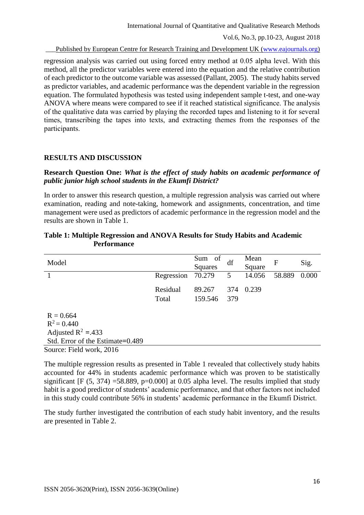Published by European Centre for Research Training and Development UK [\(www.eajournals.org\)](http://www.eajournals.org/)

regression analysis was carried out using forced entry method at 0.05 alpha level. With this method, all the predictor variables were entered into the equation and the relative contribution of each predictor to the outcome variable was assessed (Pallant, 2005). The study habits served as predictor variables, and academic performance was the dependent variable in the regression equation. The formulated hypothesis was tested using independent sample t-test, and one-way ANOVA where means were compared to see if it reached statistical significance. The analysis of the qualitative data was carried by playing the recorded tapes and listening to it for several times, transcribing the tapes into texts, and extracting themes from the responses of the participants.

## **RESULTS AND DISCUSSION**

## **Research Question One:** *What is the effect of study habits on academic performance of public junior high school students in the Ekumfi District?*

In order to answer this research question, a multiple regression analysis was carried out where examination, reading and note-taking, homework and assignments, concentration, and time management were used as predictors of academic performance in the regression model and the results are shown in Table 1.

| Model                                                                                                                       |                   | Sum of<br>Squares | df         | Mean<br>Square | $\mathbf{F}$ | Sig.  |
|-----------------------------------------------------------------------------------------------------------------------------|-------------------|-------------------|------------|----------------|--------------|-------|
|                                                                                                                             | Regression        | 70.279            | 5          | 14.056         | 58.889       | 0.000 |
|                                                                                                                             | Residual<br>Total | 89.267<br>159.546 | 374<br>379 | 0.239          |              |       |
| $R = 0.664$<br>$R^2 = 0.440$<br>Adjusted $R^2$ = 433<br>Std. Error of the Estimate=0.489<br>$\sim$ $\sim$<br>$T'$ 11 1 001/ |                   |                   |            |                |              |       |

#### **Table 1: Multiple Regression and ANOVA Results for Study Habits and Academic Performance**

Source: Field work, 2016

The multiple regression results as presented in Table 1 revealed that collectively study habits accounted for 44% in students academic performance which was proven to be statistically significant  $[F (5, 374) = 58,889, p=0.000]$  at 0.05 alpha level. The results implied that study habit is a good predictor of students' academic performance, and that other factors not included in this study could contribute 56% in students' academic performance in the Ekumfi District.

The study further investigated the contribution of each study habit inventory, and the results are presented in Table 2.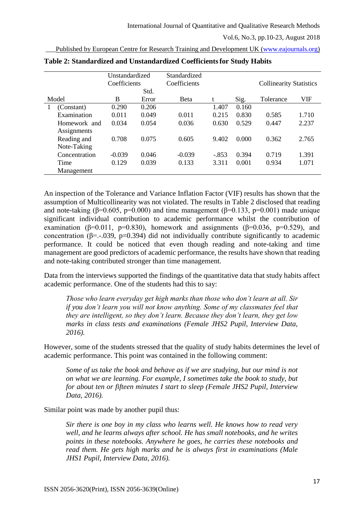|               | Unstandardized<br>Coefficients |       | Standardized |         |       |                                |       |
|---------------|--------------------------------|-------|--------------|---------|-------|--------------------------------|-------|
|               |                                |       | Coefficients |         |       | <b>Collinearity Statistics</b> |       |
|               |                                | Std.  |              |         |       |                                |       |
| Model         | B                              | Error | <b>Beta</b>  | t       | Sig.  | Tolerance                      | VIF   |
| (Constant)    | 0.290                          | 0.206 |              | 1.407   | 0.160 |                                |       |
| Examination   | 0.011                          | 0.049 | 0.011        | 0.215   | 0.830 | 0.585                          | 1.710 |
| Homework and  | 0.034                          | 0.054 | 0.036        | 0.630   | 0.529 | 0.447                          | 2.237 |
| Assignments   |                                |       |              |         |       |                                |       |
| Reading and   | 0.708                          | 0.075 | 0.605        | 9.402   | 0.000 | 0.362                          | 2.765 |
| Note-Taking   |                                |       |              |         |       |                                |       |
| Concentration | $-0.039$                       | 0.046 | $-0.039$     | $-.853$ | 0.394 | 0.719                          | 1.391 |
| Time          | 0.129                          | 0.039 | 0.133        | 3.311   | 0.001 | 0.934                          | 1.071 |
| Management    |                                |       |              |         |       |                                |       |

|  |  |  | Published by European Centre for Research Training and Development UK (www.eajournals.org) |
|--|--|--|--------------------------------------------------------------------------------------------|
|  |  |  |                                                                                            |

**Table 2: Standardized and Unstandardized Coefficientsfor Study Habits** 

An inspection of the Tolerance and Variance Inflation Factor (VIF) results has shown that the assumption of Multicollinearity was not violated. The results in Table 2 disclosed that reading and note-taking ( $\beta$ =0.605, p=0.000) and time management ( $\beta$ =0.133, p=0.001) made unique significant individual contribution to academic performance whilst the contribution of examination ( $\beta$ =0.011, p=0.830), homework and assignments ( $\beta$ =0.036, p=0.529), and concentration ( $\beta$ =.-.039, p=0.394) did not individually contribute significantly to academic performance. It could be noticed that even though reading and note-taking and time management are good predictors of academic performance, the results have shown that reading and note-taking contributed stronger than time management.

Data from the interviews supported the findings of the quantitative data that study habits affect academic performance. One of the students had this to say:

*Those who learn everyday get high marks than those who don't learn at all. Sir if you don't learn you will not know anything. Some of my classmates feel that they are intelligent, so they don't learn. Because they don't learn, they get low marks in class tests and examinations (Female JHS2 Pupil, Interview Data, 2016).* 

However, some of the students stressed that the quality of study habits determines the level of academic performance. This point was contained in the following comment:

*Some of us take the book and behave as if we are studying, but our mind is not on what we are learning. For example, I sometimes take the book to study, but for about ten or fifteen minutes I start to sleep (Female JHS2 Pupil, Interview Data, 2016).* 

Similar point was made by another pupil thus:

*Sir there is one boy in my class who learns well. He knows how to read very well, and he learns always after school. He has small notebooks, and he writes points in these notebooks. Anywhere he goes, he carries these notebooks and read them. He gets high marks and he is always first in examinations (Male JHS1 Pupil, Interview Data, 2016).*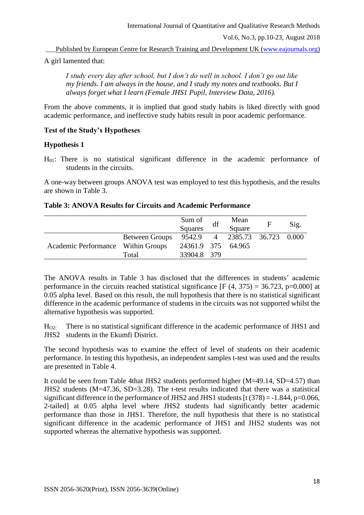Published by European Centre for Research Training and Development UK [\(www.eajournals.org\)](http://www.eajournals.org/)

A girl lamented that:

*I study every day after school, but I don't do well in school. I don't go out like my friends. I am always in the house, and I study my notes and textbooks. But I always forget what I learn (Female JHS1 Pupil, Interview Data, 2016).* 

From the above comments, it is implied that good study habits is liked directly with good academic performance, and ineffective study habits result in poor academic performance.

## **Test of the Study's Hypotheses**

## **Hypothesis 1**

H01: There is no statistical significant difference in the academic performance of students in the circuits.

A one-way between groups ANOVA test was employed to test this hypothesis, and the results are shown in Table 3.

#### **Table 3: ANOVA Results for Circuits and Academic Performance**

|                                    |                | Sum of<br><b>Squares</b> | df | Mean<br>Square                | $\mathbf F$ | Sig. |
|------------------------------------|----------------|--------------------------|----|-------------------------------|-------------|------|
|                                    | Between Groups |                          |    | 9542.9 4 2385.73 36.723 0.000 |             |      |
| Academic Performance Within Groups |                | 24361.9 375 64.965       |    |                               |             |      |
|                                    | Total          | 33904.8 379              |    |                               |             |      |

The ANOVA results in Table 3 has disclosed that the differences in students' academic performance in the circuits reached statistical significance  $[F (4, 375) = 36.723, p=0.000]$  at 0.05 alpha level. Based on this result, the null hypothesis that there is no statistical significant difference in the academic performance of students in the circuits was not supported whilst the alternative hypothesis was supported.

HO2: There is no statistical significant difference in the academic performance of JHS1 and JHS2 students in the Ekumfi District.

The second hypothesis was to examine the effect of level of students on their academic performance. In testing this hypothesis, an independent samples t-test was used and the results are presented in Table 4.

It could be seen from Table 4that JHS2 students performed higher (M=49.14, SD=4.57) than JHS2 students (M=47.36, SD=3.28). The t-test results indicated that there was a statistical significant difference in the performance of JHS2 and JHS1 students  $[t (378) = -1.844, p=0.066,$ 2-tailed] at 0.05 alpha level where JHS2 students had significantly better academic performance than those in JHS1. Therefore, the null hypothesis that there is no statistical significant difference in the academic performance of JHS1 and JHS2 students was not supported whereas the alternative hypothesis was supported.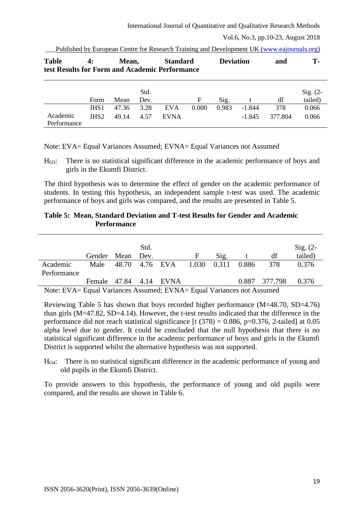| <b>Table</b>            | Mean,<br>4:<br>test Results for Form and Academic Performance |       |              | <b>Standard</b> |       | <b>Deviation</b> |          | and     | T-                    |
|-------------------------|---------------------------------------------------------------|-------|--------------|-----------------|-------|------------------|----------|---------|-----------------------|
|                         | Form                                                          | Mean  | Std.<br>Dev. |                 | F     | Sig.             |          | df      | $Sig. (2-$<br>tailed) |
|                         | JHS <sub>1</sub>                                              | 47.36 | 3.28         | <b>EVA</b>      | 0.000 | 0.983            | $-1.844$ | 378     | 0.066                 |
| Academic<br>Performance | JHS <sub>2</sub>                                              | 49.14 | 4.57         | <b>EVNA</b>     |       |                  | $-1.845$ | 377.804 | 0.066                 |

| Published by European Centre for Research Training and Development UK (www.eajournals.org) |  |  |
|--------------------------------------------------------------------------------------------|--|--|
|--------------------------------------------------------------------------------------------|--|--|

Note: EVA= Equal Variances Assumed; EVNA= Equal Variances not Assumed

HO3: There is no statistical significant difference in the academic performance of boys and girls in the Ekumfi District.

The third hypothesis was to determine the effect of gender on the academic performance of students. In testing this hypothesis, an independent sample t-test was used. The academic performance of boys and girls was compared, and the results are presented in Table 5.

# **Table 5: Mean, Standard Deviation and T-test Results for Gender and Academic Performance**

|                                                                                 |                        |                | Std. |       |             |               | Sig. $(2-$ |
|---------------------------------------------------------------------------------|------------------------|----------------|------|-------|-------------|---------------|------------|
|                                                                                 | Gender Mean Dev.       |                |      | F     | Sig.        | df            | tailed)    |
| Academic                                                                        | Male                   | 48.70 4.76 EVA |      | 1.030 | 0.311 0.886 | 378           | 0.376      |
| Performance                                                                     |                        |                |      |       |             |               |            |
|                                                                                 | Female 47.84 4.14 EVNA |                |      |       |             | 0.887 377.798 | 0.376      |
| Note: $FVA - Faul Variances$ $A$ ssumed: $FVMA - Faul Variances$ not $A$ ssumed |                        |                |      |       |             |               |            |

Note: EVA= Equal Variances Assumed; EVNA= Equal Variances not Assumed

Reviewing Table 5 has shown that boys recorded higher performance (M=48.70, SD=4.76) than girls (M=47.82, SD=4.14). However, the t-test results indicated that the difference in the performance did not reach statistical significance [t  $(378) = 0.886$ , p=0.376, 2-tailed] at 0.05 alpha level due to gender. It could be concluded that the null hypothesis that there is no statistical significant difference in the academic performance of boys and girls in the Ekumfi District is supported whilst the alternative hypothesis was not supported.

HO4: There is no statistical significant difference in the academic performance of young and old pupils in the Ekumfi District.

To provide answers to this hypothesis, the performance of young and old pupils were compared, and the results are shown in Table 6.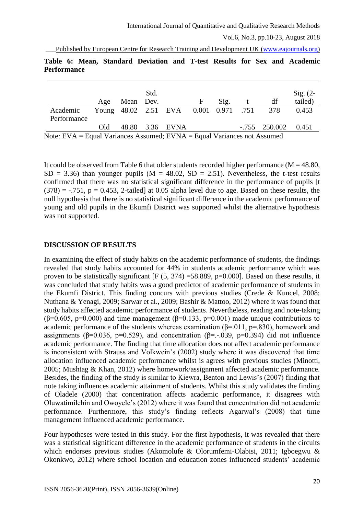Published by European Centre for Research Training and Development UK [\(www.eajournals.org\)](http://www.eajournals.org/)

|             |  | Table 6: Mean, Standard Deviation and T-test Results for Sex and Academic |  |  |  |  |
|-------------|--|---------------------------------------------------------------------------|--|--|--|--|
| Performance |  |                                                                           |  |  |  |  |

|                                                                                                                                               |     |           | Std. |                                       |   |      |                       | Sig. $(2-$ |
|-----------------------------------------------------------------------------------------------------------------------------------------------|-----|-----------|------|---------------------------------------|---|------|-----------------------|------------|
|                                                                                                                                               | Age | Mean Dev. |      |                                       | F | Sig. | df                    | tailed)    |
| Academic<br>Performance                                                                                                                       |     |           |      | Young 48.02 2.51 EVA 0.001 0.971 .751 |   |      | 378                   | 0.453      |
|                                                                                                                                               | Old |           |      | 48.80 3.36 EVNA                       |   |      | $-.755$ 250.002 0.451 |            |
| $N_{\text{obs}}$ $EVA = E_{\text{coul}} V_{\text{cmin}}$ $A_{\text{coumod}}$ $EVMA = E_{\text{coul}} V_{\text{cmin}}$ and $A_{\text{coumod}}$ |     |           |      |                                       |   |      |                       |            |

Note: EVA = Equal Variances Assumed; EVNA = Equal Variances not Assumed

It could be observed from Table 6 that older students recorded higher performance ( $M = 48.80$ ,  $SD = 3.36$ ) than younger pupils (M = 48.02, SD = 2.51). Nevertheless, the t-test results confirmed that there was no statistical significant difference in the performance of pupils [t  $(378) = -0.751$ ,  $p = 0.453$ , 2-tailed at 0.05 alpha level due to age. Based on these results, the null hypothesis that there is no statistical significant difference in the academic performance of young and old pupils in the Ekumfi District was supported whilst the alternative hypothesis was not supported.

# **DISCUSSION OF RESULTS**

In examining the effect of study habits on the academic performance of students, the findings revealed that study habits accounted for 44% in students academic performance which was proven to be statistically significant  $[F (5, 374) = 58.889, p=0.000]$ . Based on these results, it was concluded that study habits was a good predictor of academic performance of students in the Ekumfi District. This finding concurs with previous studies (Crede  $\&$  Kuncel, 2008; Nuthana & Yenagi, 2009; Sarwar et al., 2009; Bashir & Mattoo, 2012) where it was found that study habits affected academic performance of students. Nevertheless, reading and note-taking ( $\beta$ =0.605, p=0.000) and time management ( $\beta$ =0.133, p=0.001) made unique contributions to academic performance of the students whereas examination ( $\beta$ =.011,  $p$ =.830), homework and assignments ( $\beta$ =0.036, p=0.529), and concentration ( $\beta$ =.-039, p=0.394) did not influence academic performance. The finding that time allocation does not affect academic performance is inconsistent with Strauss and Volkwein's (2002) study where it was discovered that time allocation influenced academic performance whilst is agrees with previous studies (Minotti, 2005; Mushtag & Khan, 2012) where homework/assignment affected academic performance. Besides, the finding of the study is similar to Kiewra, Benton and Lewis's (2007) finding that note taking influences academic attainment of students. Whilst this study validates the finding of Oladele (2000) that concentration affects academic performance, it disagrees with Oluwatimilehin and Owoyele's (2012) where it was found that concentration did not academic performance. Furthermore, this study's finding reflects Agarwal's (2008) that time management influenced academic performance.

Four hypotheses were tested in this study. For the first hypothesis, it was revealed that there was a statistical significant difference in the academic performance of students in the circuits which endorses previous studies (Akomolufe & Olorumfemi-Olabisi, 2011; Igboegwu & Okonkwo, 2012) where school location and education zones influenced students' academic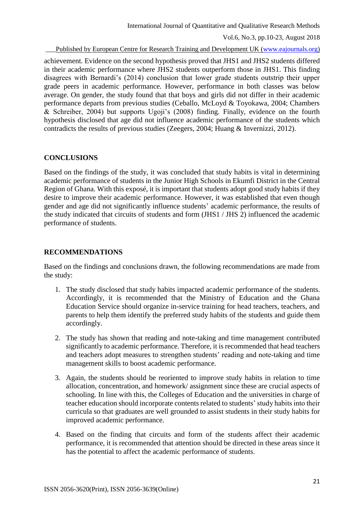Published by European Centre for Research Training and Development UK [\(www.eajournals.org\)](http://www.eajournals.org/)

achievement. Evidence on the second hypothesis proved that JHS1 and JHS2 students differed in their academic performance where JHS2 students outperform those in JHS1. This finding disagrees with Bernardi's (2014) conclusion that lower grade students outstrip their upper grade peers in academic performance. However, performance in both classes was below average. On gender, the study found that that boys and girls did not differ in their academic performance departs from previous studies (Ceballo, McLoyd & Toyokawa, 2004; Chambers & Schreiber, 2004) but supports Ugoji's (2008) finding. Finally, evidence on the fourth hypothesis disclosed that age did not influence academic performance of the students which contradicts the results of previous studies (Zeegers, 2004; Huang & Invernizzi, 2012).

## **CONCLUSIONS**

Based on the findings of the study, it was concluded that study habits is vital in determining academic performance of students in the Junior High Schools in Ekumfi District in the Central Region of Ghana. With this exposé, it is important that students adopt good study habits if they desire to improve their academic performance. However, it was established that even though gender and age did not significantly influence students' academic performance, the results of the study indicated that circuits of students and form (JHS1 / JHS 2) influenced the academic performance of students.

# **RECOMMENDATIONS**

Based on the findings and conclusions drawn, the following recommendations are made from the study:

- 1. The study disclosed that study habits impacted academic performance of the students. Accordingly, it is recommended that the Ministry of Education and the Ghana Education Service should organize in-service training for head teachers, teachers, and parents to help them identify the preferred study habits of the students and guide them accordingly.
- 2. The study has shown that reading and note-taking and time management contributed significantly to academic performance. Therefore, it is recommended that head teachers and teachers adopt measures to strengthen students' reading and note-taking and time management skills to boost academic performance.
- 3. Again, the students should be reoriented to improve study habits in relation to time allocation, concentration, and homework/ assignment since these are crucial aspects of schooling. In line with this, the Colleges of Education and the universities in charge of teacher education should incorporate contents related to students' study habits into their curricula so that graduates are well grounded to assist students in their study habits for improved academic performance.
- 4. Based on the finding that circuits and form of the students affect their academic performance, it is recommended that attention should be directed in these areas since it has the potential to affect the academic performance of students.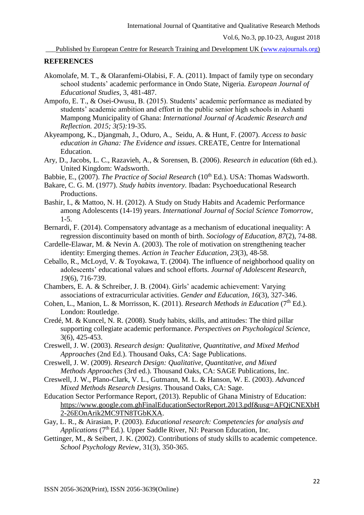Published by European Centre for Research Training and Development UK [\(www.eajournals.org\)](http://www.eajournals.org/)

#### **REFERENCES**

- Akomolafe, M. T., & Olaranfemi-Olabisi, F. A. (2011). Impact of family type on secondary school students' academic performance in Ondo State, Nigeria. *European Journal of Educational Studies*, 3, 481-487.
- Ampofo, E. T., & Osei-Owusu, B. (2015). Students' academic performance as mediated by students' academic ambition and effort in the public senior high schools in Ashanti Mampong Municipality of Ghana: *International Journal of Academic Research and Reflection. 2015; 3(5):*19-35.
- Akyeampong, K., Djangmah, J., Oduro, A., Seidu, A. & Hunt, F. (2007). *Access to basic education in Ghana: The Evidence and issues*. CREATE, Centre for International Education.
- Ary, D., Jacobs, L. C., Razavieh, A., & Sorensen, B. (2006). *Research in education* (6th ed.). United Kingdom: Wadsworth.
- Babbie, E., (2007). *The Practice of Social Research* (10<sup>th</sup> Ed.). USA: Thomas Wadsworth.
- Bakare, C. G. M. (1977). *Study habits inventory.* Ibadan: Psychoeducational Research Productions.
- Bashir, I., & Mattoo, N. H. (2012). A Study on Study Habits and Academic Performance among Adolescents (14-19) years. *International Journal of Social Science Tomorrow*, 1-5.
- Bernardi, F. (2014). Compensatory advantage as a mechanism of educational inequality: A regression discontinuity based on month of birth. *Sociology of Education, 87*(2), 74-88.
- Cardelle-Elawar, M. & Nevin A. (2003). The role of motivation on strengthening teacher identity: Emerging themes. *Action in Teacher Education, 23*(3), 48-58.
- Ceballo, R., McLoyd, V. & Toyokawa, T. (2004). The influence of neighborhood quality on adolescents' educational values and school efforts. *Journal of Adolescent Research, 19*(6), 716-739.
- Chambers, E. A. & Schreiber, J. B. (2004). Girls' academic achievement: Varying associations of extracurricular activities. *Gender and Education, 16*(3), 327-346.
- Cohen, L., Manion, L. & Morrisson, K. (2011). *Research Methods in Education* (7<sup>th</sup> Ed.). London: Routledge.
- Credé, M. & Kuncel, N. R. (2008). Study habits, skills, and attitudes: The third pillar supporting collegiate academic performance. *Perspectives on Psychological Science*, 3(6), 425-453.
- Creswell, J. W. (2003). *Research design: Qualitative, Quantitative, and Mixed Method Approaches* (2nd Ed.). Thousand Oaks, CA: Sage Publications.
- Creswell, J. W. (2009). *Research Design: Qualitative, Quantitative, and Mixed Methods Approaches* (3rd ed.). Thousand Oaks, CA: SAGE Publications, Inc.
- Creswell, J. W., Plano-Clark, V. L., Gutmann, M. L. & Hanson, W. E. (2003). *Advanced Mixed Methods Research Designs*. Thousand Oaks, CA: Sage.
- Education Sector Performance Report, (2013). Republic of Ghana Ministry of Education: [https://www.google.com.ghFinalEducationSectorReport.2013.pdf&usg=AFQjCNEXbH](https://www.google.com.ghfinaleducationsectorreport.2013.pdf&usg=afqjcnexbh2-26eonarik2mc9tn8tgbkxa/) [2-26EOnArik2MC9TN8TGbKXA.](https://www.google.com.ghfinaleducationsectorreport.2013.pdf&usg=afqjcnexbh2-26eonarik2mc9tn8tgbkxa/)
- Gay, L. R., & Airasian, P. (2003). *Educational research: Competencies for analysis and Applications* (7<sup>th</sup> Ed.). Upper Saddle River, NJ: Pearson Education, Inc.
- Gettinger, M., & Seibert, J. K. (2002). Contributions of study skills to academic competence. *School Psychology Review*, 31(3), 350-365.